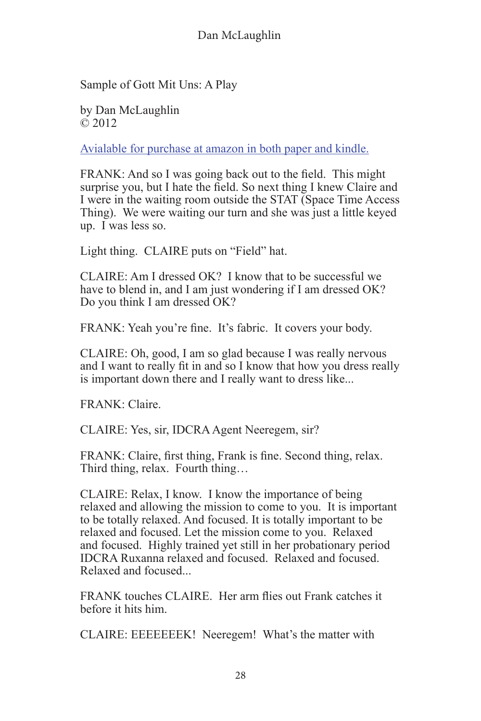Sample of Gott Mit Uns: A Play

by Dan McLaughlin © 2012

[Avialable for purchase at amazon in both paper and kindle.](http://www.amazon.com/Gott-Mit-Uns-Dan-McLaughlin/dp/1475102429/ref%3Dla_B004GAT0XS_1_1%3Fie%3DUTF8%26qid%3D1365669935%26sr%3D1-1)

FRANK: And so I was going back out to the field. This might surprise you, but I hate the field. So next thing I knew Claire and I were in the waiting room outside the STAT (Space Time Access Thing). We were waiting our turn and she was just a little keyed up. I was less so.

Light thing. CLAIRE puts on "Field" hat.

CLAIRE: Am I dressed OK? I know that to be successful we have to blend in, and I am just wondering if I am dressed OK? Do you think I am dressed OK?

FRANK: Yeah you're fine. It's fabric. It covers your body.

CLAIRE: Oh, good, I am so glad because I was really nervous and I want to really fit in and so I know that how you dress really is important down there and I really want to dress like...

FRANK: Claire.

CLAIRE: Yes, sir, IDCRA Agent Neeregem, sir?

FRANK: Claire, first thing, Frank is fine. Second thing, relax. Third thing, relax. Fourth thing…

CLAIRE: Relax, I know. I know the importance of being relaxed and allowing the mission to come to you. It is important to be totally relaxed. And focused. It is totally important to be relaxed and focused. Let the mission come to you. Relaxed and focused. Highly trained yet still in her probationary period IDCRA Ruxanna relaxed and focused. Relaxed and focused. Relaxed and focused...

FRANK touches CLAIRE. Her arm flies out Frank catches it before it hits him.

CLAIRE: EEEEEEEK! Neeregem! What's the matter with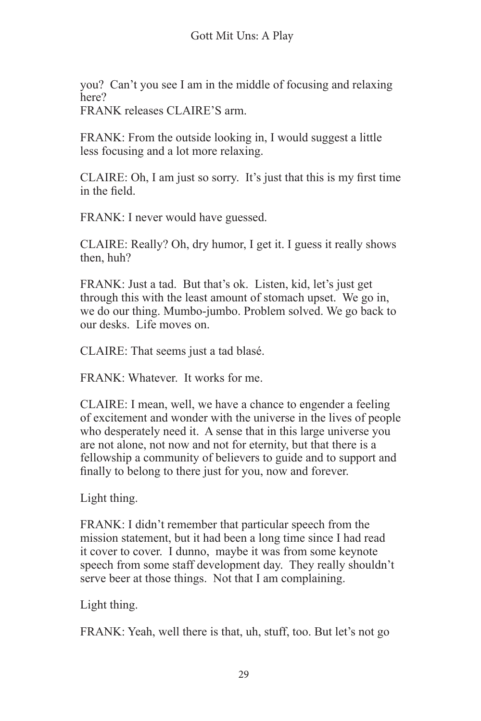you? Can't you see I am in the middle of focusing and relaxing here?

FRANK releases CLAIRE'S arm.

FRANK: From the outside looking in, I would suggest a little less focusing and a lot more relaxing.

CLAIRE: Oh, I am just so sorry. It's just that this is my first time in the field.

FRANK: I never would have guessed.

CLAIRE: Really? Oh, dry humor, I get it. I guess it really shows then, huh?

FRANK: Just a tad. But that's ok. Listen, kid, let's just get through this with the least amount of stomach upset. We go in, we do our thing. Mumbo-jumbo. Problem solved. We go back to our desks. Life moves on.

CLAIRE: That seems just a tad blasé.

FRANK: Whatever. It works for me.

CLAIRE: I mean, well, we have a chance to engender a feeling of excitement and wonder with the universe in the lives of people who desperately need it. A sense that in this large universe you are not alone, not now and not for eternity, but that there is a fellowship a community of believers to guide and to support and finally to belong to there just for you, now and forever.

Light thing.

FRANK: I didn't remember that particular speech from the mission statement, but it had been a long time since I had read it cover to cover. I dunno, maybe it was from some keynote speech from some staff development day. They really shouldn't serve beer at those things. Not that I am complaining.

Light thing.

FRANK: Yeah, well there is that, uh, stuff, too. But let's not go